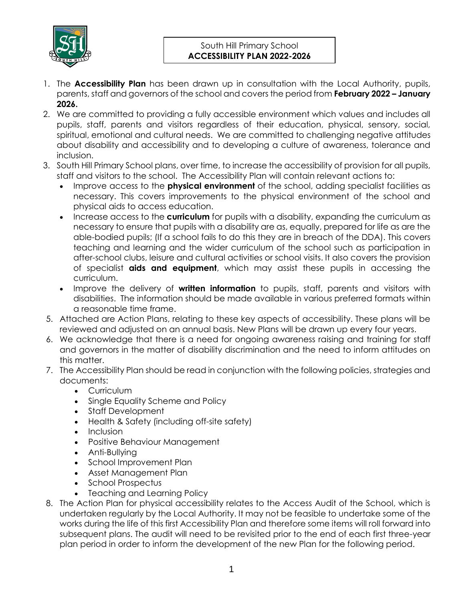

#### South Hill Primary School **ACCESSIBILITY PLAN 2022-2026**

- 1. The **Accessibility Plan** has been drawn up in consultation with the Local Authority, pupils, parents, staff and governors of the school and covers the period from **February 2022 – January 2026.**
- 2. We are committed to providing a fully accessible environment which values and includes all pupils, staff, parents and visitors regardless of their education, physical, sensory, social, spiritual, emotional and cultural needs. We are committed to challenging negative attitudes about disability and accessibility and to developing a culture of awareness, tolerance and inclusion.
- 3. South Hill Primary School plans, over time, to increase the accessibility of provision for all pupils, staff and visitors to the school. The Accessibility Plan will contain relevant actions to:
	- Improve access to the **physical environment** of the school, adding specialist facilities as necessary. This covers improvements to the physical environment of the school and physical aids to access education.
	- Increase access to the **curriculum** for pupils with a disability, expanding the curriculum as necessary to ensure that pupils with a disability are as, equally, prepared for life as are the able-bodied pupils; (If a school fails to do this they are in breach of the DDA). This covers teaching and learning and the wider curriculum of the school such as participation in after-school clubs, leisure and cultural activities or school visits. It also covers the provision of specialist **aids and equipment**, which may assist these pupils in accessing the curriculum.
	- Improve the delivery of **written information** to pupils, staff, parents and visitors with disabilities. The information should be made available in various preferred formats within a reasonable time frame.
- 5. Attached are Action Plans, relating to these key aspects of accessibility. These plans will be reviewed and adjusted on an annual basis. New Plans will be drawn up every four years.
- 6. We acknowledge that there is a need for ongoing awareness raising and training for staff and governors in the matter of disability discrimination and the need to inform attitudes on this matter.
- 7. The Accessibility Plan should be read in conjunction with the following policies, strategies and documents:
	- Curriculum
	- Single Equality Scheme and Policy
	- Staff Development
	- Health & Safety (including off-site safety)
	- Inclusion
	- Positive Behaviour Management
	- Anti-Bullying
	- School Improvement Plan
	- Asset Management Plan
	- School Prospectus
	- Teaching and Learning Policy
- 8. The Action Plan for physical accessibility relates to the Access Audit of the School, which is undertaken regularly by the Local Authority. It may not be feasible to undertake some of the works during the life of this first Accessibility Plan and therefore some items will roll forward into subsequent plans. The audit will need to be revisited prior to the end of each first three-year plan period in order to inform the development of the new Plan for the following period.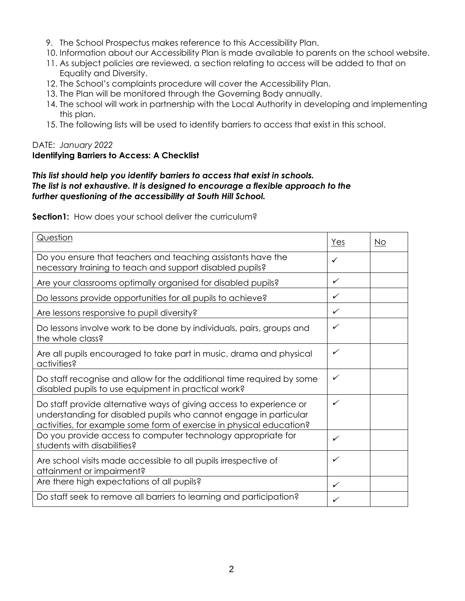- 9. The School Prospectus makes reference to this Accessibility Plan.
- 10. Information about our Accessibility Plan is made available to parents on the school website.
- 11. As subject policies are reviewed, a section relating to access will be added to that on Equality and Diversity.
- 12. The School's complaints procedure will cover the Accessibility Plan.
- 13. The Plan will be monitored through the Governing Body annually.
- 14. The school will work in partnership with the Local Authority in developing and implementing this plan.
- 15. The following lists will be used to identify barriers to access that exist in this school.

#### DATE: *January 2022* **Identifying Barriers to Access: A Checklist**

#### *This list should help you identify barriers to access that exist in schools. The list is not exhaustive. It is designed to encourage a flexible approach to the further questioning of the accessibility at South Hill School.*

|  |  |  |  | <b>Section1:</b> How does your school deliver the curriculum? |
|--|--|--|--|---------------------------------------------------------------|
|--|--|--|--|---------------------------------------------------------------|

| Question                                                                                                                                                                                                         | Yes          | No |
|------------------------------------------------------------------------------------------------------------------------------------------------------------------------------------------------------------------|--------------|----|
| Do you ensure that teachers and teaching assistants have the<br>necessary training to teach and support disabled pupils?                                                                                         | $\checkmark$ |    |
| Are your classrooms optimally organised for disabled pupils?                                                                                                                                                     | $\checkmark$ |    |
| Do lessons provide opportunities for all pupils to achieve?                                                                                                                                                      | $\checkmark$ |    |
| Are lessons responsive to pupil diversity?                                                                                                                                                                       | $\checkmark$ |    |
| Do lessons involve work to be done by individuals, pairs, groups and<br>the whole class?                                                                                                                         | $\checkmark$ |    |
| Are all pupils encouraged to take part in music, drama and physical<br>activities?                                                                                                                               | $\checkmark$ |    |
| Do staff recognise and allow for the additional time required by some<br>disabled pupils to use equipment in practical work?                                                                                     | ✓            |    |
| Do staff provide alternative ways of giving access to experience or<br>understanding for disabled pupils who cannot engage in particular<br>activities, for example some form of exercise in physical education? | ✓            |    |
| Do you provide access to computer technology appropriate for<br>students with disabilities?                                                                                                                      | ✓            |    |
| Are school visits made accessible to all pupils irrespective of<br>attainment or impairment?                                                                                                                     | ✓            |    |
| Are there high expectations of all pupils?                                                                                                                                                                       | ✓            |    |
| Do staff seek to remove all barriers to learning and participation?                                                                                                                                              | ✓            |    |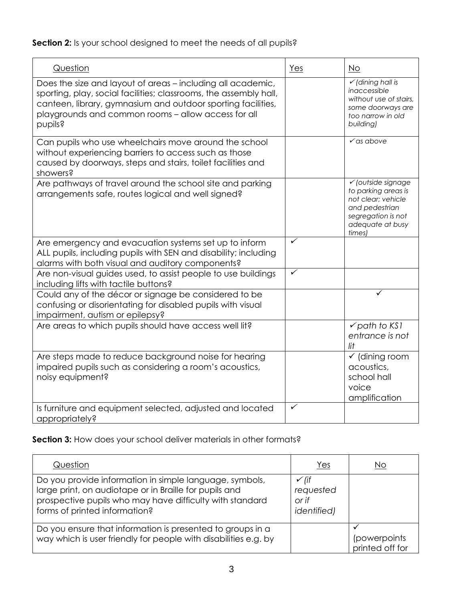# **Section 2:** Is your school designed to meet the needs of all pupils?

| Question                                                                                                                                                                                                                                                           | Yes          | <b>No</b>                                                                                                                                        |
|--------------------------------------------------------------------------------------------------------------------------------------------------------------------------------------------------------------------------------------------------------------------|--------------|--------------------------------------------------------------------------------------------------------------------------------------------------|
| Does the size and layout of areas - including all academic,<br>sporting, play, social facilities; classrooms, the assembly hall,<br>canteen, library, gymnasium and outdoor sporting facilities,<br>playgrounds and common rooms - allow access for all<br>pupils? |              | $\checkmark$ (dining hall is<br>inaccessible<br>without use of stairs,<br>some doorways are<br>too narrow in old<br>building)                    |
| Can pupils who use wheelchairs move around the school<br>without experiencing barriers to access such as those<br>caused by doorways, steps and stairs, toilet facilities and<br>showers?                                                                          |              | $\sqrt{a}$ s above                                                                                                                               |
| Are pathways of travel around the school site and parking<br>arrangements safe, routes logical and well signed?                                                                                                                                                    |              | $\checkmark$ (outside signage<br>to parking areas is<br>not clear; vehicle<br>and pedestrian<br>segregation is not<br>adequate at busy<br>times) |
| Are emergency and evacuation systems set up to inform<br>ALL pupils, including pupils with SEN and disability; including<br>alarms with both visual and auditory components?                                                                                       | $\checkmark$ |                                                                                                                                                  |
| Are non-visual guides used, to assist people to use buildings<br>including lifts with tactile buttons?                                                                                                                                                             | $\checkmark$ |                                                                                                                                                  |
| Could any of the décor or signage be considered to be<br>confusing or disorientating for disabled pupils with visual<br>impairment, autism or epilepsy?                                                                                                            |              | ✓                                                                                                                                                |
| Are areas to which pupils should have access well lit?                                                                                                                                                                                                             |              | $\checkmark$ path to KS1<br>entrance is not<br>lit                                                                                               |
| Are steps made to reduce background noise for hearing<br>impaired pupils such as considering a room's acoustics,<br>noisy equipment?                                                                                                                               |              | $\checkmark$ (dining room<br>acoustics,<br>school hall<br>voice<br>amplification                                                                 |
| Is furniture and equipment selected, adjusted and located<br>appropriately?                                                                                                                                                                                        | $\checkmark$ |                                                                                                                                                  |

### **Section 3:** How does your school deliver materials in other formats?

| Question                                                                                                                                                                                                       | Yes                                                           | Νo                               |
|----------------------------------------------------------------------------------------------------------------------------------------------------------------------------------------------------------------|---------------------------------------------------------------|----------------------------------|
| Do you provide information in simple language, symbols,<br>large print, on audiotape or in Braille for pupils and<br>prospective pupils who may have difficulty with standard<br>forms of printed information? | $\checkmark$ (if<br>requested<br>or if<br><i>identified</i> ) |                                  |
| Do you ensure that information is presented to groups in a<br>way which is user friendly for people with disabilities e.g. by                                                                                  |                                                               | (powerpoints)<br>printed off for |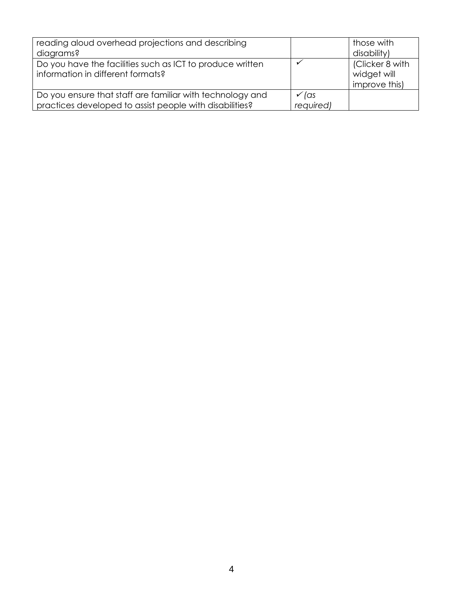| reading aloud overhead projections and describing<br>diagrams?<br>Do you have the facilities such as ICT to produce written<br>information in different formats? |                               | those with<br>disability)<br>(Clicker 8 with<br>widget will<br>improve this) |
|------------------------------------------------------------------------------------------------------------------------------------------------------------------|-------------------------------|------------------------------------------------------------------------------|
| Do you ensure that staff are familiar with technology and<br>practices developed to assist people with disabilities?                                             | $\checkmark$ (as<br>required) |                                                                              |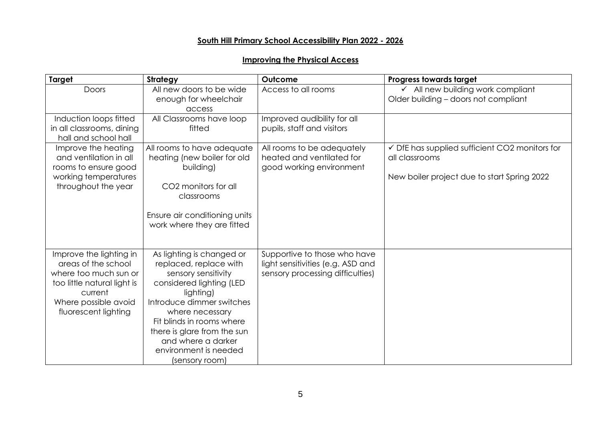### **South Hill Primary School Accessibility Plan 2022 - 2026**

# **Improving the Physical Access**

| <b>Target</b>                                                                                                                                                     | <b>Strategy</b>                                                                                                                                                                                                                                                                                  | Outcome                                                                                               | <b>Progress towards target</b>                                                                                             |
|-------------------------------------------------------------------------------------------------------------------------------------------------------------------|--------------------------------------------------------------------------------------------------------------------------------------------------------------------------------------------------------------------------------------------------------------------------------------------------|-------------------------------------------------------------------------------------------------------|----------------------------------------------------------------------------------------------------------------------------|
| Doors                                                                                                                                                             | All new doors to be wide<br>enough for wheelchair<br>access                                                                                                                                                                                                                                      | Access to all rooms                                                                                   | $\checkmark$ All new building work compliant<br>Older building - doors not compliant                                       |
| Induction loops fitted<br>in all classrooms, dining<br>hall and school hall                                                                                       | All Classrooms have loop<br>fitted                                                                                                                                                                                                                                                               | Improved audibility for all<br>pupils, staff and visitors                                             |                                                                                                                            |
| Improve the heating<br>and ventilation in all<br>rooms to ensure good<br>working temperatures<br>throughout the year                                              | All rooms to have adequate<br>heating (new boiler for old<br>building)<br>CO <sub>2</sub> monitors for all<br>classrooms<br>Ensure air conditioning units<br>work where they are fitted                                                                                                          | All rooms to be adequately<br>heated and ventilated for<br>good working environment                   | $\checkmark$ DfE has supplied sufficient CO2 monitors for<br>all classrooms<br>New boiler project due to start Spring 2022 |
| Improve the lighting in<br>areas of the school<br>where too much sun or<br>too little natural light is<br>current<br>Where possible avoid<br>fluorescent lighting | As lighting is changed or<br>replaced, replace with<br>sensory sensitivity<br>considered lighting (LED<br>lighting)<br>Introduce dimmer switches<br>where necessary<br>Fit blinds in rooms where<br>there is glare from the sun<br>and where a darker<br>environment is needed<br>(sensory room) | Supportive to those who have<br>light sensitivities (e.g. ASD and<br>sensory processing difficulties) |                                                                                                                            |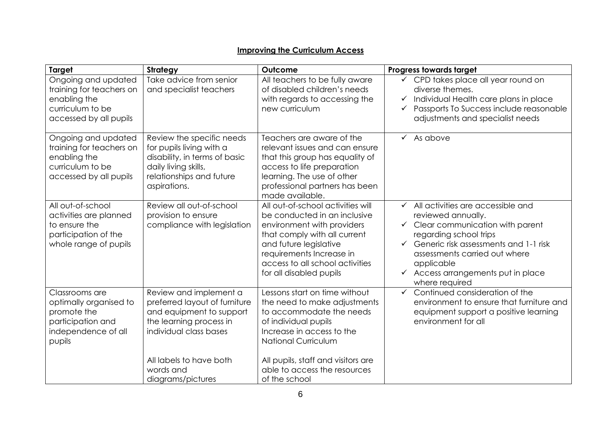## **Improving the Curriculum Access**

| Target                                                                                                        | <b>Strategy</b>                                                                                                                                                     | Outcome                                                                                                                                                                                                                                             | <b>Progress towards target</b>                                                                                                                                                                                                                                                                     |
|---------------------------------------------------------------------------------------------------------------|---------------------------------------------------------------------------------------------------------------------------------------------------------------------|-----------------------------------------------------------------------------------------------------------------------------------------------------------------------------------------------------------------------------------------------------|----------------------------------------------------------------------------------------------------------------------------------------------------------------------------------------------------------------------------------------------------------------------------------------------------|
| Ongoing and updated<br>training for teachers on<br>enabling the<br>curriculum to be<br>accessed by all pupils | Take advice from senior<br>and specialist teachers                                                                                                                  | All teachers to be fully aware<br>of disabled children's needs<br>with regards to accessing the<br>new curriculum                                                                                                                                   | CPD takes place all year round on<br>diverse themes.<br>Individual Health care plans in place<br>$\checkmark$<br>Passports To Success include reasonable<br>$\checkmark$<br>adjustments and specialist needs                                                                                       |
| Ongoing and updated<br>training for teachers on<br>enabling the<br>curriculum to be<br>accessed by all pupils | Review the specific needs<br>for pupils living with a<br>disability, in terms of basic<br>daily living skills,<br>relationships and future<br>aspirations.          | Teachers are aware of the<br>relevant issues and can ensure<br>that this group has equality of<br>access to life preparation<br>learning. The use of other<br>professional partners has been<br>made available.                                     | $\checkmark$ As above                                                                                                                                                                                                                                                                              |
| All out-of-school<br>activities are planned<br>to ensure the<br>participation of the<br>whole range of pupils | Review all out-of-school<br>provision to ensure<br>compliance with legislation                                                                                      | All out-of-school activities will<br>be conducted in an inclusive<br>environment with providers<br>that comply with all current<br>and future legislative<br>requirements Increase in<br>access to all school activities<br>for all disabled pupils | All activities are accessible and<br>$\checkmark$<br>reviewed annually.<br>Clear communication with parent<br>$\checkmark$<br>regarding school trips<br>Generic risk assessments and 1-1 risk<br>assessments carried out where<br>applicable<br>Access arrangements put in place<br>where required |
| Classrooms are<br>optimally organised to<br>promote the<br>participation and<br>independence of all<br>pupils | Review and implement a<br>preferred layout of furniture<br>and equipment to support<br>the learning process in<br>individual class bases<br>All labels to have both | Lessons start on time without<br>the need to make adjustments<br>to accommodate the needs<br>of individual pupils<br>Increase in access to the<br><b>National Curriculum</b><br>All pupils, staff and visitors are                                  | Continued consideration of the<br>$\checkmark$<br>environment to ensure that furniture and<br>equipment support a positive learning<br>environment for all                                                                                                                                         |
|                                                                                                               | words and<br>diagrams/pictures                                                                                                                                      | able to access the resources<br>of the school                                                                                                                                                                                                       |                                                                                                                                                                                                                                                                                                    |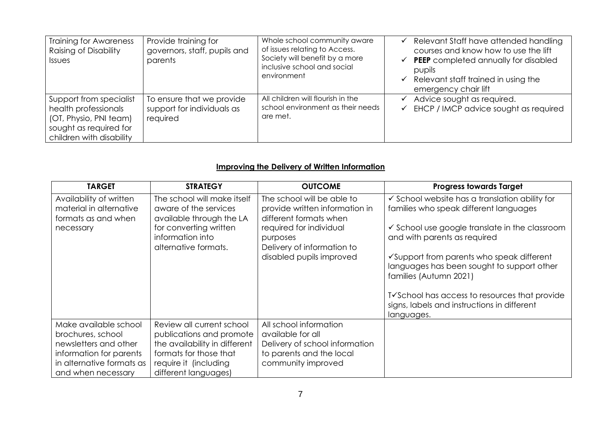| <b>Training for Awareness</b><br><b>Raising of Disability</b><br><i><b>Issues</b></i>                                           | Provide training for<br>governors, staff, pupils and<br>parents     | Whole school community aware<br>of issues relating to Access.<br>Society will benefit by a more<br>inclusive school and social<br>environment | Relevant Staff have attended handling<br>courses and know how to use the lift<br><b>PEEP</b> completed annually for disabled<br>pupils<br>Relevant staff trained in using the<br>emergency chair lift |
|---------------------------------------------------------------------------------------------------------------------------------|---------------------------------------------------------------------|-----------------------------------------------------------------------------------------------------------------------------------------------|-------------------------------------------------------------------------------------------------------------------------------------------------------------------------------------------------------|
| Support from specialist<br>health professionals<br>(OT, Physio, PNI team)<br>sought as required for<br>children with disability | To ensure that we provide<br>support for individuals as<br>required | All children will flourish in the<br>school environment as their needs<br>are met.                                                            | Advice sought as required.<br>$\checkmark$<br>EHCP / IMCP advice sought as required                                                                                                                   |

### **Improving the Delivery of Written Information**

| <b>TARGET</b>                                                                                                                                     | <b>STRATEGY</b>                                                                                                                                                   | <b>OUTCOME</b>                                                                                                                  | <b>Progress towards Target</b>                                                                                    |
|---------------------------------------------------------------------------------------------------------------------------------------------------|-------------------------------------------------------------------------------------------------------------------------------------------------------------------|---------------------------------------------------------------------------------------------------------------------------------|-------------------------------------------------------------------------------------------------------------------|
| Availability of written<br>material in alternative<br>formats as and when                                                                         | The school will make itself<br>aware of the services<br>available through the LA                                                                                  | The school will be able to<br>provide written information in<br>different formats when                                          | $\checkmark$ School website has a translation ability for<br>families who speak different languages               |
| necessary                                                                                                                                         | for converting written<br>information into<br>alternative formats.                                                                                                | required for individual<br>purposes<br>Delivery of information to                                                               | $\checkmark$ School use google translate in the classroom<br>and with parents as required                         |
|                                                                                                                                                   |                                                                                                                                                                   | disabled pupils improved                                                                                                        | √Support from parents who speak different<br>languages has been sought to support other<br>families (Autumn 2021) |
|                                                                                                                                                   |                                                                                                                                                                   |                                                                                                                                 | T√School has access to resources that provide<br>signs, labels and instructions in different<br>languages.        |
| Make available school<br>brochures, school<br>newsletters and other<br>information for parents<br>in alternative formats as<br>and when necessary | Review all current school<br>publications and promote<br>the availability in different<br>formats for those that<br>require it (including<br>different languages) | All school information<br>available for all<br>Delivery of school information<br>to parents and the local<br>community improved |                                                                                                                   |